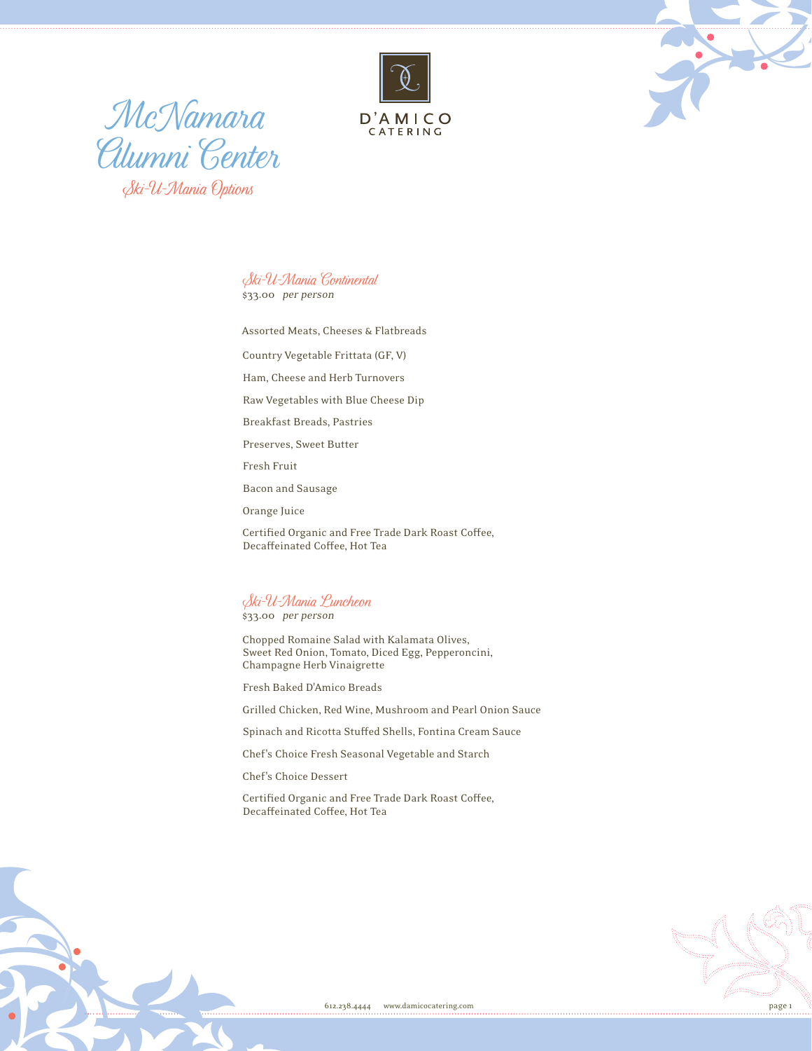



McNamara Alumni Center Ski-U-Mania Options

Ski-U-Mania Continental \$33.00 per person

Assorted Meats, Cheeses & Flatbreads

Country Vegetable Frittata (GF, V)

Ham, Cheese and Herb Turnovers

Raw Vegetables with Blue Cheese Dip

Breakfast Breads, Pastries

Preserves, Sweet Butter

Fresh Fruit

Bacon and Sausage

Orange Juice

Certified Organic and Free Trade Dark Roast Coffee, Decaffeinated Coffee, Hot Tea

Ski-U-Mania Luncheon

\$33.00 per person

Chopped Romaine Salad with Kalamata Olives, Sweet Red Onion, Tomato, Diced Egg, Pepperoncini, Champagne Herb Vinaigrette

Fresh Baked D'Amico Breads

Grilled Chicken, Red Wine, Mushroom and Pearl Onion Sauce

Spinach and Ricotta Stuffed Shells, Fontina Cream Sauce

Chef's Choice Fresh Seasonal Vegetable and Starch

Chef's Choice Dessert

Certified Organic and Free Trade Dark Roast Coffee, Decaffeinated Coffee, Hot Tea